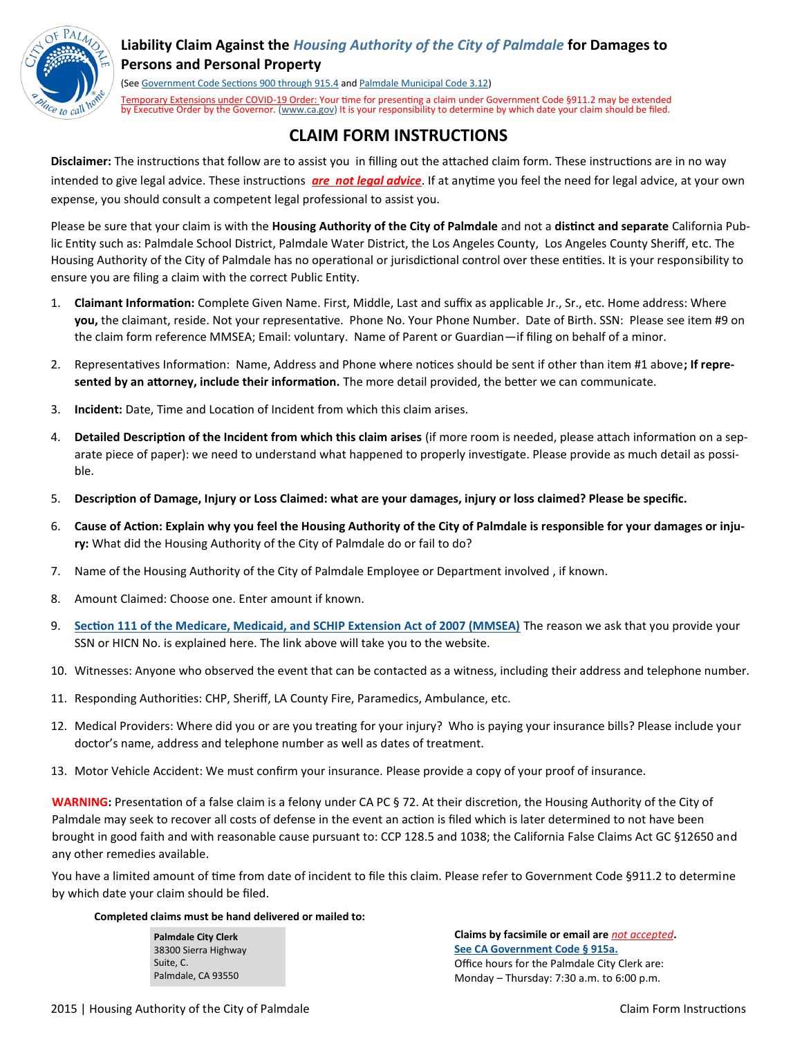

## **Liability Claim Against the** *Housing Authority of the City of Palmdale* **for Damages to Persons and Personal Property**

(See [Government Code Sections 900 through 915.4](http://www.leginfo.ca.gov/.html/gov_table_of_contents.html) and [Palmdale Municipal Code 3.12\)](http://www.codepublishing.com/ca/Palmdale/palmdale03/Palmdale0312.html#3.12) Temporary Extensions under COVID-19 Order: Your time for presenting a claim under Government Code §911.2 may be extended by Executive Order by the Governor. (www.ca.gov) It is your responsibility to determine by which date your claim should be filed.

# **CLAIM FORM INSTRUCTIONS**

**Disclaimer:** The instructions that follow are to assist you in filling out the attached claim form. These instructions are in no way intended to give legal advice. These instructions *are not legal advice*. If at anytime you feel the need for legal advice, at your own expense, you should consult a competent legal professional to assist you.

Please be sure that your claim is with the **Housing Authority of the City of Palmdale** and not a **distinct and separate** California Public Entity such as: Palmdale School District, Palmdale Water District, the Los Angeles County, Los Angeles County Sheriff, etc. The Housing Authority of the City of Palmdale has no operational or jurisdictional control over these entities. It is your responsibility to ensure you are filing a claim with the correct Public Entity.

- 1. **Claimant Information:** Complete Given Name. First, Middle, Last and suffix as applicable Jr., Sr., etc. Home address: Where **you,** the claimant, reside. Not your representative. Phone No. Your Phone Number. Date of Birth. SSN: Please see item #9 on the claim form reference MMSEA; Email: voluntary. Name of Parent or Guardian—if filing on behalf of a minor.
- 2. Representatives Information: Name, Address and Phone where notices should be sent if other than item #1 above**; If represented by an attorney, include their information.** The more detail provided, the better we can communicate.
- 3. **Incident:** Date, Time and Location of Incident from which this claim arises.
- 4. **Detailed Description of the Incident from which this claim arises** (if more room is needed, please attach information on a separate piece of paper): we need to understand what happened to properly investigate. Please provide as much detail as possible.
- 5. **Description of Damage, Injury or Loss Claimed: what are your damages, injury or loss claimed? Please be specific.**
- 6. **Cause of Action: Explain why you feel the Housing Authority of the City of Palmdale is responsible for your damages or injury:** What did the Housing Authority of the City of Palmdale do or fail to do?
- 7. Name of the Housing Authority of the City of Palmdale Employee or Department involved , if known.
- 8. Amount Claimed: Choose one. Enter amount if known.
- 9. **[Section 111 of the Medicare, Medicaid, and SCHIP Extension Act of 2007 \(MMSEA\)](https://www.cms.gov/Medicare/Coordination-of-Benefits-and-Recovery/Mandatory-Insurer-Reporting-For-Group-Health-Plans/Overview.html)** The reason we ask that you provide your SSN or HICN No. is explained here. The link above will take you to the website.
- 10. Witnesses: Anyone who observed the event that can be contacted as a witness, including their address and telephone number.
- 11. Responding Authorities: CHP, Sheriff, LA County Fire, Paramedics, Ambulance, etc.
- 12. Medical Providers: Where did you or are you treating for your injury? Who is paying your insurance bills? Please include your doctor's name, address and telephone number as well as dates of treatment.
- 13. Motor Vehicle Accident: We must confirm your insurance. Please provide a copy of your proof of insurance.

**WARNING:** Presentation of a false claim is a felony under CA PC § 72. At their discretion, the Housing Authority of the City of Palmdale may seek to recover all costs of defense in the event an action is filed which is later determined to not have been brought in good faith and with reasonable cause pursuant to: CCP 128.5 and 1038; the California False Claims Act GC §12650 and any other remedies available.

You have a limited amount of time from date of incident to file this claim. Please refer to Government Code §911.2 to determine by which date your claim should be filed.

### **Completed claims must be hand delivered or mailed to:**

**Palmdale City Clerk** 38300 Sierra Highway Suite, C. Palmdale, CA 93550

**Claims by facsimile or email are** *not accepted***. [See CA Government Code § 915a.](http://www.leginfo.ca.gov/cgi-bin/displaycode?section=gov&group=00001-01000&file=915-915.4)** Office hours for the Palmdale City Clerk are: Monday – Thursday: 7:30 a.m. to 6:00 p.m.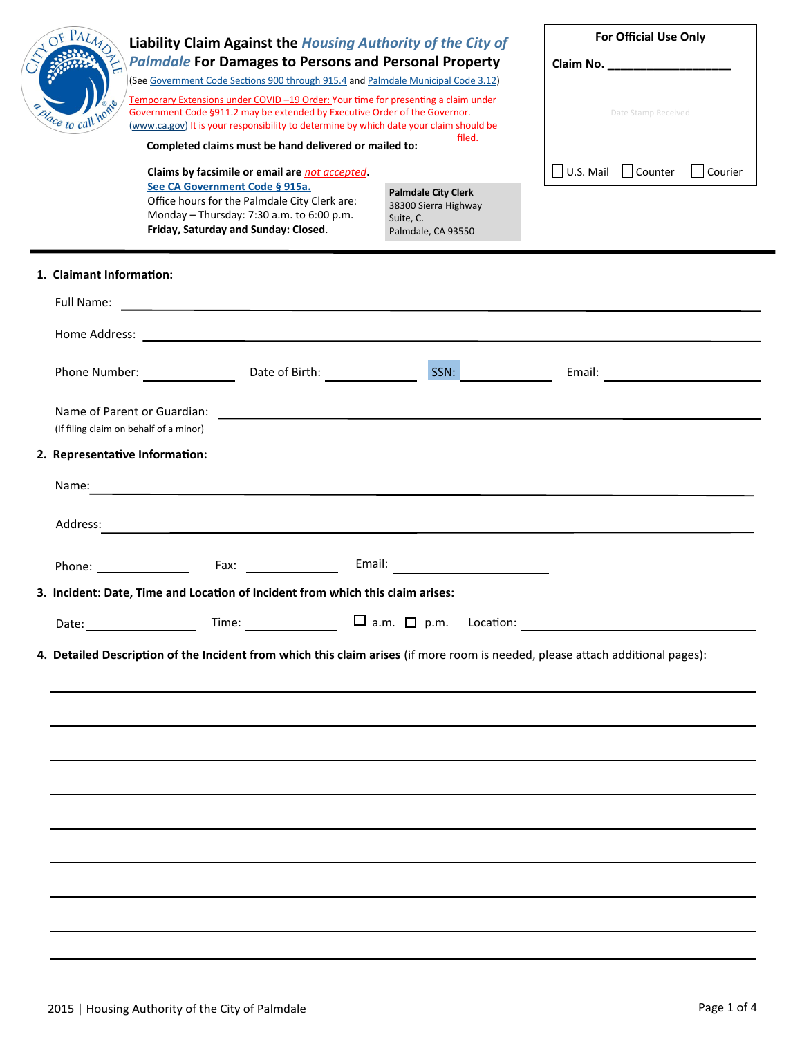| dace to call ho                         | Liability Claim Against the Housing Authority of the City of<br><b>Palmdale For Damages to Persons and Personal Property</b><br>(See Government Code Sections 900 through 915.4 and Palmdale Municipal Code 3.12)<br>Temporary Extensions under COVID -19 Order: Your time for presenting a claim under<br>Government Code §911.2 may be extended by Executive Order of the Governor.<br>(www.ca.gov) It is your responsibility to determine by which date your claim should be | filed.                                                                                | <b>For Official Use Only</b><br>Claim No. ____________________<br>Date Stamp Received |
|-----------------------------------------|---------------------------------------------------------------------------------------------------------------------------------------------------------------------------------------------------------------------------------------------------------------------------------------------------------------------------------------------------------------------------------------------------------------------------------------------------------------------------------|---------------------------------------------------------------------------------------|---------------------------------------------------------------------------------------|
|                                         | Completed claims must be hand delivered or mailed to:<br>Claims by facsimile or email are not accepted.<br>See CA Government Code § 915a.<br>Office hours for the Palmdale City Clerk are:<br>Monday - Thursday: 7:30 a.m. to 6:00 p.m.<br>Friday, Saturday and Sunday: Closed.                                                                                                                                                                                                 | <b>Palmdale City Clerk</b><br>38300 Sierra Highway<br>Suite, C.<br>Palmdale, CA 93550 | $\Box$ U.S. Mail $\Box$ Counter $\Box$ Courier                                        |
| 1. Claimant Information:<br>Full Name:  | <u> 1989 - Johann Stoff, Amerikaansk politiker (* 1908)</u>                                                                                                                                                                                                                                                                                                                                                                                                                     |                                                                                       |                                                                                       |
|                                         | Phone Number: Date of Birth: Date of Birth:<br>Name of Parent or Guardian:<br><u> 1989 - Johann Harry Harry Harry Harry Harry Harry Harry Harry Harry Harry Harry Harry Harry Harry Harry Harry</u>                                                                                                                                                                                                                                                                             | SSN:                                                                                  |                                                                                       |
|                                         | (If filing claim on behalf of a minor)                                                                                                                                                                                                                                                                                                                                                                                                                                          |                                                                                       |                                                                                       |
| 2. Representative Information:<br>Name: | <u> 1989 - Andrea Andrew Maria (h. 1989).</u>                                                                                                                                                                                                                                                                                                                                                                                                                                   |                                                                                       |                                                                                       |
| Address:                                |                                                                                                                                                                                                                                                                                                                                                                                                                                                                                 |                                                                                       |                                                                                       |
|                                         |                                                                                                                                                                                                                                                                                                                                                                                                                                                                                 |                                                                                       |                                                                                       |
|                                         | 3. Incident: Date, Time and Location of Incident from which this claim arises:                                                                                                                                                                                                                                                                                                                                                                                                  |                                                                                       |                                                                                       |
|                                         |                                                                                                                                                                                                                                                                                                                                                                                                                                                                                 |                                                                                       | Time: $\Box$ a.m. $\Box$ p.m. Location: $\Box$                                        |
|                                         | 4. Detailed Description of the Incident from which this claim arises (if more room is needed, please attach additional pages):                                                                                                                                                                                                                                                                                                                                                  |                                                                                       |                                                                                       |
|                                         |                                                                                                                                                                                                                                                                                                                                                                                                                                                                                 |                                                                                       |                                                                                       |
|                                         |                                                                                                                                                                                                                                                                                                                                                                                                                                                                                 |                                                                                       |                                                                                       |
|                                         |                                                                                                                                                                                                                                                                                                                                                                                                                                                                                 |                                                                                       |                                                                                       |
|                                         |                                                                                                                                                                                                                                                                                                                                                                                                                                                                                 |                                                                                       |                                                                                       |
|                                         |                                                                                                                                                                                                                                                                                                                                                                                                                                                                                 |                                                                                       |                                                                                       |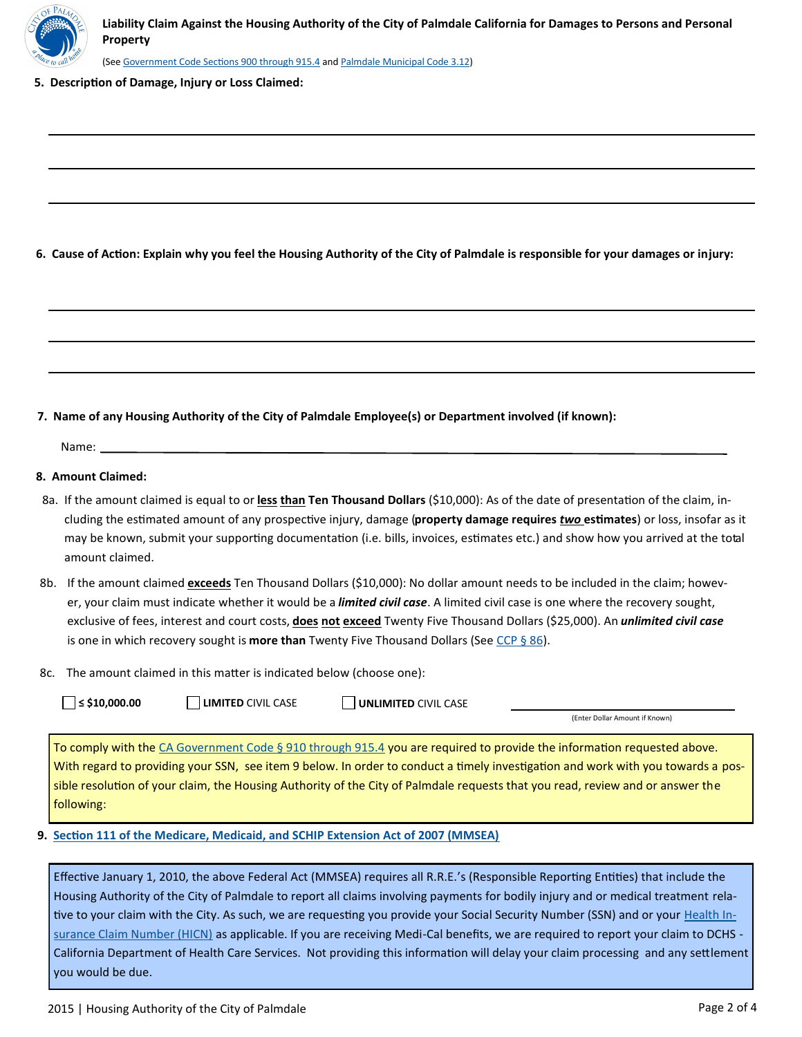

(See [Government Code Sections 900 through 915.4](http://www.leginfo.ca.gov/.html/gov_table_of_contents.html) and [Palmdale Municipal Code 3.12\)](http://www.codepublishing.com/ca/Palmdale/palmdale03/Palmdale0312.html#3.12)

**5. Description of Damage, Injury or Loss Claimed:**

**6. Cause of Action: Explain why you feel the Housing Authority of the City of Palmdale is responsible for your damages or injury:** 

**7. Name of any Housing Authority of the City of Palmdale Employee(s) or Department involved (if known):** 

Name:

#### **8. Amount Claimed:**

- 8a. If the amount claimed is equal to or <u>less **than</u> Ten Thousand Dollars** (\$10,000): As of the date of presentation of the claim, in-</u> cluding the estimated amount of any prospective injury, damage (**property damage requires** *two* **estimates**) or loss, insofar as it may be known, submit your supporting documentation (i.e. bills, invoices, estimates etc.) and show how you arrived at the total amount claimed.
- 8b. If the amount claimed *exceeds* Ten Thousand Dollars (\$10,000): No dollar amount needs to be included in the claim; however, your claim must indicate whether it would be a *limited civil case*. A limited civil case is one where the recovery sought, exclusive of fees, interest and court costs, **does not exceed** Twenty Five Thousand Dollars (\$25,000). An *unlimited civil case*  is one in which recovery sought is **more than** Twenty Five Thousand Dollars (See [CCP § 86\).](http://www.leginfo.ca.gov/cgi-bin/displaycode?section=ccp&group=00001-01000&file=85-89)
- 8c. The amount claimed in this matter is indicated below (choose one):

| $\Box$ ≤ \$10,000.00 |  |
|----------------------|--|
|----------------------|--|

■ LIMITED CIVIL CASE ■ UNLIMITED CIVIL CASE

(Enter Dollar Amount if Known)

To comply with the [CA Government Code § 910 through 915.4](http://www.leginfo.ca.gov/.html/gov_table_of_contents.html) you are required to provide the information requested above. With regard to providing your SSN, see item 9 below. In order to conduct a timely investigation and work with you towards a possible resolution of your claim, the Housing Authority of the City of Palmdale requests that you read, review and or answer the following:

### **9. [Section 111 of the Medicare, Medicaid, and SCHIP Extension Act of 2007 \(MMSEA\)](https://www.cms.gov/Medicare/Coordination-of-Benefits-and-Recovery/Mandatory-Insurer-Reporting-For-Group-Health-Plans/Overview.html)**

Effective January 1, 2010, the above Federal Act (MMSEA) requires all R.R.E.'s (Responsible Reporting Entities) that include the Housing Authority of the City of Palmdale to report all claims involving payments for bodily injury and or medical treatment rela-tive to your claim with the City. As such, we are requesting you provide your Social Security Number (SSN) and or your [Health In](http://www.cms.gov/Medicare/Coordination-of-Benefits-and-Recovery/Mandatory-Insurer-Reporting-For-Non-Group-Health-Plans/Downloads/New-Downloads/HICN-SSN-Collection-NGHP-Model-Language.pdf)[surance Claim Number \(HICN\)](http://www.cms.gov/Medicare/Coordination-of-Benefits-and-Recovery/Mandatory-Insurer-Reporting-For-Non-Group-Health-Plans/Downloads/New-Downloads/HICN-SSN-Collection-NGHP-Model-Language.pdf) as applicable. If you are receiving Medi-Cal benefits, we are required to report your claim to DCHS - California Department of Health Care Services. Not providing this information will delay your claim processing and any settlement you would be due.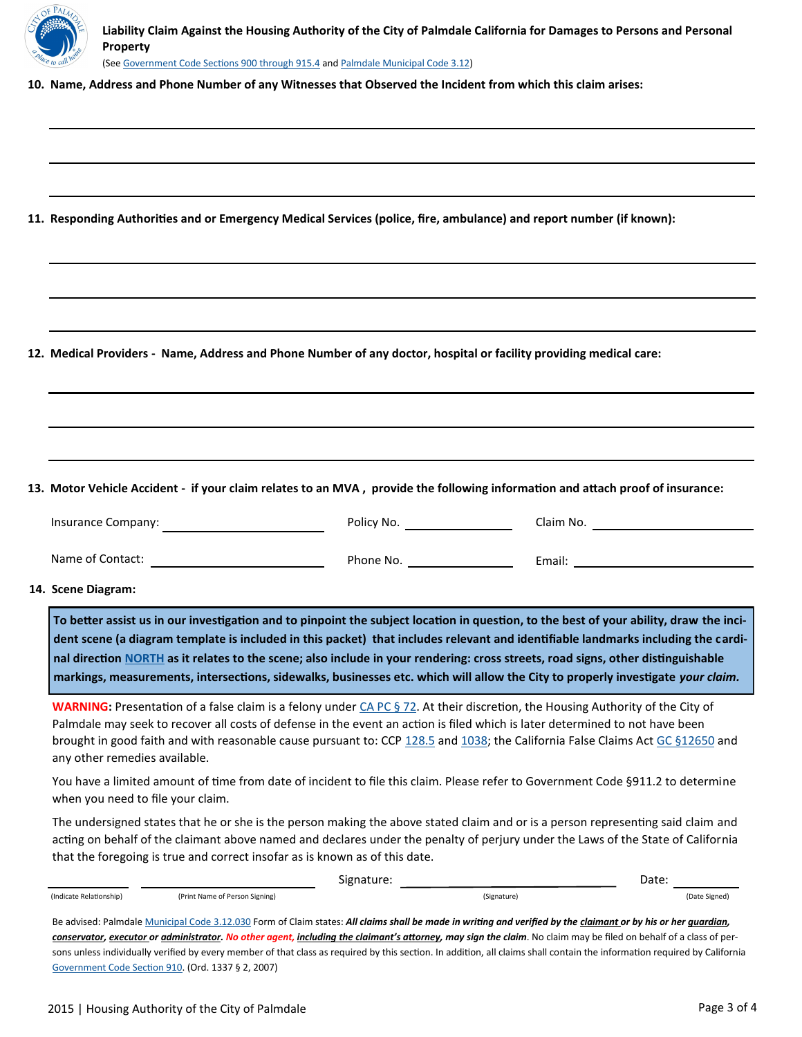

**Liability Claim Against the Housing Authority of the City of Palmdale California for Damages to Persons and Personal Property** (See [Government Code Sections 900 through 915.4](http://www.leginfo.ca.gov/.html/gov_table_of_contents.html) and [Palmdale Municipal Code 3.12\)](http://www.codepublishing.com/ca/Palmdale/palmdale03/Palmdale0312.html#3.12)

**10. Name, Address and Phone Number of any Witnesses that Observed the Incident from which this claim arises:** 

**11. Responding Authorities and or Emergency Medical Services (police, fire, ambulance) and report number (if known):** 

**12. Medical Providers - Name, Address and Phone Number of any doctor, hospital or facility providing medical care:** 

**13. Motor Vehicle Accident - if your claim relates to an MVA , provide the following information and attach proof of insurance:** 

| Insurance Company: | Policy No. | Claim No. |
|--------------------|------------|-----------|
|                    |            |           |

Name of Contact: Phone No. Email:

**14. Scene Diagram:** 

**To better assist us in our investigation and to pinpoint the subject location in question, to the best of your ability, draw the incident scene (a diagram template is included in this packet) that includes relevant and identifiable landmarks including the cardinal direction [NORTH](https://en.wikipedia.org/wiki/Cardinal_direction) as it relates to the scene; also include in your rendering: cross streets, road signs, other distinguishable markings, measurements, intersections, sidewalks, businesses etc. which will allow the City to properly investigate** *your claim.* 

**WARNING:** Presentation of a false claim is a felony under [CA PC § 72.](http://www.leginfo.ca.gov/cgi-bin/displaycode?section=pen&group=00001-01000&file=67-77) At their discretion, the Housing Authority of the City of Palmdale may seek to recover all costs of defense in the event an action is filed which is later determined to not have been brought in good faith and with reasonable cause pursuant to: CCP [128.5](http://www.leginfo.ca.gov/cgi-bin/displaycode?section=ccp&group=00001-01000&file=128-130) and [1038;](http://www.leginfo.ca.gov/cgi-bin/displaycode?section=ccp&group=01001-02000&file=1021-1038) the California False Claims Act [GC §12650](http://www.leginfo.ca.gov/cgi-bin/displaycode?section=gov&group=12001-13000&file=12650-12656) and any other remedies available.

You have a limited amount of time from date of incident to file this claim. Please refer to Government Code §911.2 to determine when you need to file your claim.

The undersigned states that he or she is the person making the above stated claim and or is a person representing said claim and acting on behalf of the claimant above named and declares under the penalty of perjury under the Laws of the State of California that the foregoing is true and correct insofar as is known as of this date.

|                                                                                                                                                                   |                                | Signature:  | Date:         |  |  |  |  |
|-------------------------------------------------------------------------------------------------------------------------------------------------------------------|--------------------------------|-------------|---------------|--|--|--|--|
| (Indicate Relationship)                                                                                                                                           | (Print Name of Person Signing) | (Signature) | (Date Signed) |  |  |  |  |
| Be advised: Palmdale Municipal Code 3.12.030 Form of Claim states: All claims shall be made in writing and verified by the claimant or by his or her quardian,    |                                |             |               |  |  |  |  |
| conservator, executor or administrator. No other agent, including the claimant's attorney, may sign the claim. No claim may be filed on behalf of a class of per- |                                |             |               |  |  |  |  |

sons unless individually verified by every member of that class as required by this section. In addition, all claims shall contain the information required by California [Government Code Section 910.](http://www.leginfo.ca.gov/.html/gov_table_of_contents.html) (Ord. 1337 § 2, 2007)